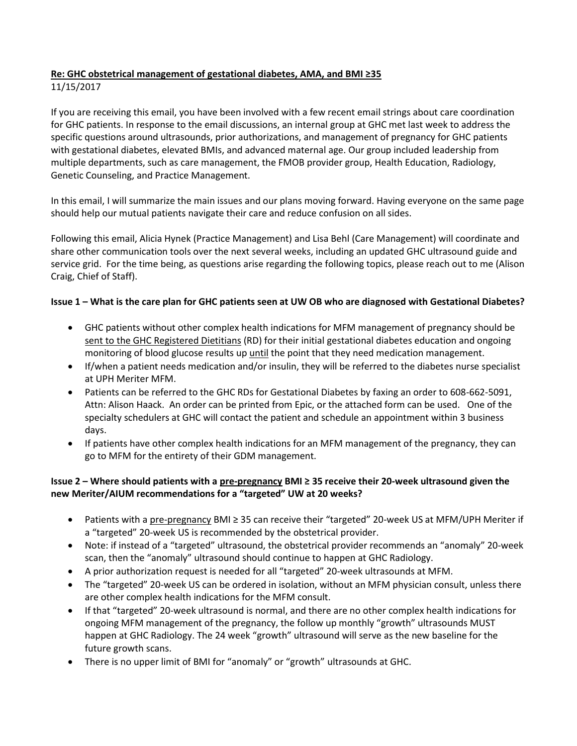## **Re: GHC obstetrical management of gestational diabetes, AMA, and BMI ≥35**

#### 11/15/2017

If you are receiving this email, you have been involved with a few recent email strings about care coordination for GHC patients. In response to the email discussions, an internal group at GHC met last week to address the specific questions around ultrasounds, prior authorizations, and management of pregnancy for GHC patients with gestational diabetes, elevated BMIs, and advanced maternal age. Our group included leadership from multiple departments, such as care management, the FMOB provider group, Health Education, Radiology, Genetic Counseling, and Practice Management.

In this email, I will summarize the main issues and our plans moving forward. Having everyone on the same page should help our mutual patients navigate their care and reduce confusion on all sides.

Following this email, Alicia Hynek (Practice Management) and Lisa Behl (Care Management) will coordinate and share other communication tools over the next several weeks, including an updated GHC ultrasound guide and service grid. For the time being, as questions arise regarding the following topics, please reach out to me (Alison Craig, Chief of Staff).

#### **Issue 1 – What is the care plan for GHC patients seen at UW OB who are diagnosed with Gestational Diabetes?**

- GHC patients without other complex health indications for MFM management of pregnancy should be sent to the GHC Registered Dietitians (RD) for their initial gestational diabetes education and ongoing monitoring of blood glucose results up until the point that they need medication management.
- If/when a patient needs medication and/or insulin, they will be referred to the diabetes nurse specialist at UPH Meriter MFM.
- Patients can be referred to the GHC RDs for Gestational Diabetes by faxing an order to 608-662-5091, Attn: Alison Haack. An order can be printed from Epic, or the attached form can be used. One of the specialty schedulers at GHC will contact the patient and schedule an appointment within 3 business days.
- If patients have other complex health indications for an MFM management of the pregnancy, they can go to MFM for the entirety of their GDM management.

## **Issue 2 – Where should patients with a pre-pregnancy BMI ≥ 35 receive their 20-week ultrasound given the new Meriter/AIUM recommendations for a "targeted" UW at 20 weeks?**

- Patients with a pre-pregnancy BMI ≥ 35 can receive their "targeted" 20-week US at MFM/UPH Meriter if a "targeted" 20-week US is recommended by the obstetrical provider.
- Note: if instead of a "targeted" ultrasound, the obstetrical provider recommends an "anomaly" 20-week scan, then the "anomaly" ultrasound should continue to happen at GHC Radiology.
- A prior authorization request is needed for all "targeted" 20-week ultrasounds at MFM.
- The "targeted" 20-week US can be ordered in isolation, without an MFM physician consult, unless there are other complex health indications for the MFM consult.
- If that "targeted" 20-week ultrasound is normal, and there are no other complex health indications for ongoing MFM management of the pregnancy, the follow up monthly "growth" ultrasounds MUST happen at GHC Radiology. The 24 week "growth" ultrasound will serve as the new baseline for the future growth scans.
- There is no upper limit of BMI for "anomaly" or "growth" ultrasounds at GHC.